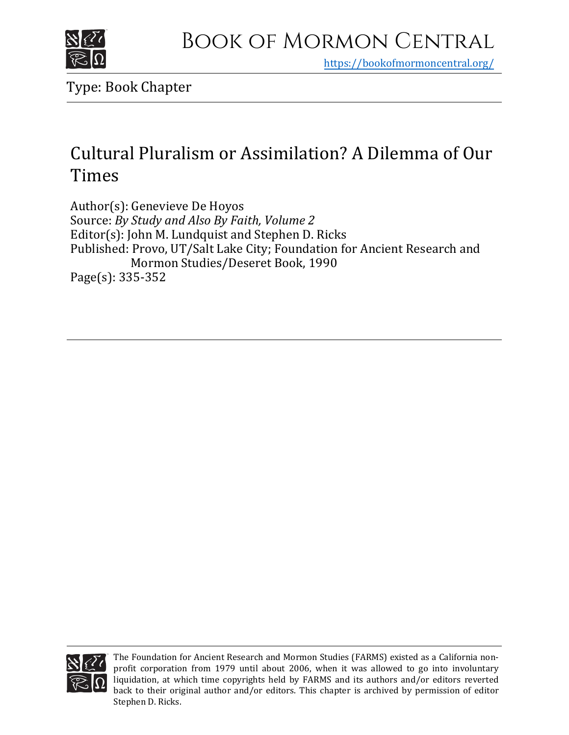

https[://bookofmormoncentral.org/](https://bookofmormoncentral.org/)

Type: Book Chapter

# Cultural Pluralism or Assimilation? A Dilemma of Our Times

Author(s): Genevieve De Hoyos Source: *By Study and Also By Faith, Volume 2* Editor(s): John M. Lundquist and Stephen D. Ricks Published: Provo, UT/Salt Lake City; Foundation for Ancient Research and Mormon Studies/Deseret Book, 1990 Page(s): 335-352



The Foundation for Ancient Research and Mormon Studies (FARMS) existed as a California nonprofit corporation from 1979 until about 2006, when it was allowed to go into involuntary liquidation, at which time copyrights held by FARMS and its authors and/or editors reverted back to their original author and/or editors. This chapter is archived by permission of editor Stephen D. Ricks.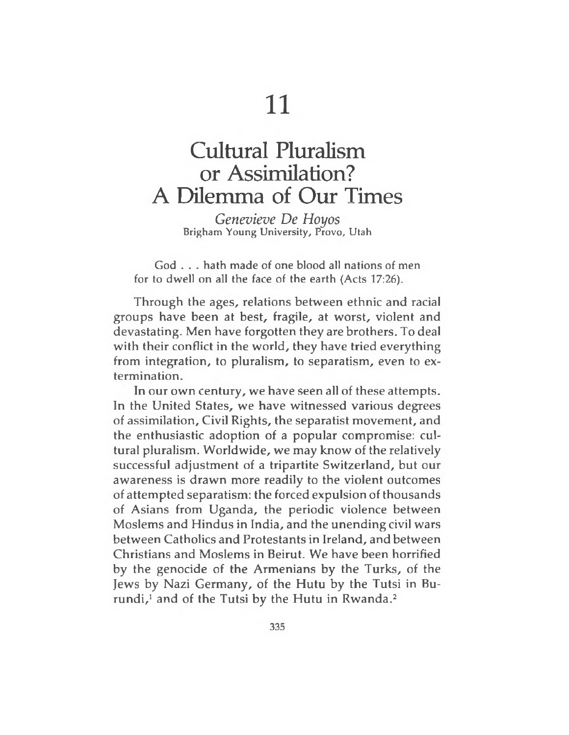# Cultural Pluralism or Assimilation? A Dilemma of Our Times

*Genevieve De Hoyos* Brigham Young University, Provo, Utah

God . . . hath made of one blood all nations of men for to dwell on all the face of the earth (Acts 17:26).

Through the ages, relations between ethnic and racial groups have been at best, fragile, at worst, violent and devastating. Men have forgotten they are brothers. To deal with their conflict in the world, they have tried everything from integration, to pluralism, to separatism, even to extermination.

In our own century, we have seen all of these attempts. In the United States, we have witnessed various degrees of assimilation, Civil Rights, the separatist movement, and the enthusiastic adoption of a popular compromise: cultural pluralism. Worldwide, we may know of the relatively successful adjustment of a tripartite Switzerland, but our awareness is drawn more readily to the violent outcomes of attempted separatism: the forced expulsion of thousands of Asians from Uganda, the periodic violence between Moslems and Hindus in India, and the unending civil wars between Catholics and Protestants in Ireland, and between Christians and Moslems in Beirut. We have been horrified by the genocide of the Armenians by the Turks, of the Jews by Nazi Germany, of the Hutu by the Tutsi in Burundi, $<sup>1</sup>$  and of the Tutsi by the Hutu in Rwanda. $<sup>2</sup>$ </sup></sup>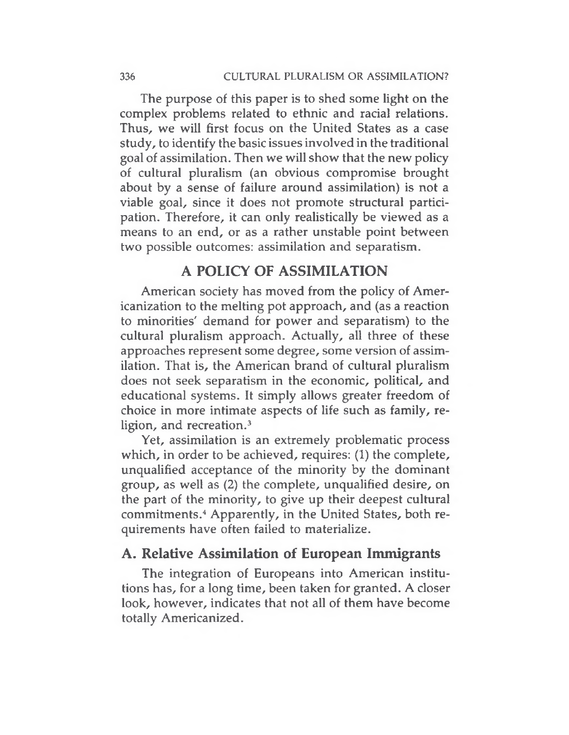The purpose of this paper is to shed some light on the complex problems related to ethnic and racial relations. Thus, we will first focus on the United States as a case study, to identify the basic issues involved in the traditional goal of assimilation. Then we will show that the new policy of cultural pluralism (an obvious compromise brought about by a sense of failure around assimilation) is not a viable goal, since it does not promote structural participation. Therefore, it can only realistically be viewed as a means to an end, or as a rather unstable point between two possible outcomes: assimilation and separatism.

### **A POLICY OF ASSIMILATION**

American society has moved from the policy of Americanization to the melting pot approach, and (as a reaction to minorities' demand for power and separatism) to the cultural pluralism approach. Actually, all three of these approaches represent some degree, some version of assimilation. That is, the American brand of cultural pluralism does not seek separatism in the economic, political, and educational systems. It simply allows greater freedom of choice in more intimate aspects of life such as family, religion, and recreation.<sup>3</sup>

Yet, assimilation is an extremely problematic process which, in order to be achieved, requires: (1) the complete, unqualified acceptance of the minority by the dominant group, as well as (2) the complete, unqualified desire, on the part of the minority, to give up their deepest cultural commitments.<sup>4</sup> Apparently, in the United States, both requirements have often failed to materialize.

### **A. Relative Assimilation of European Immigrants**

The integration of Europeans into American institutions has, for a long time, been taken for granted. A closer look, however, indicates that not all of them have become totally Americanized.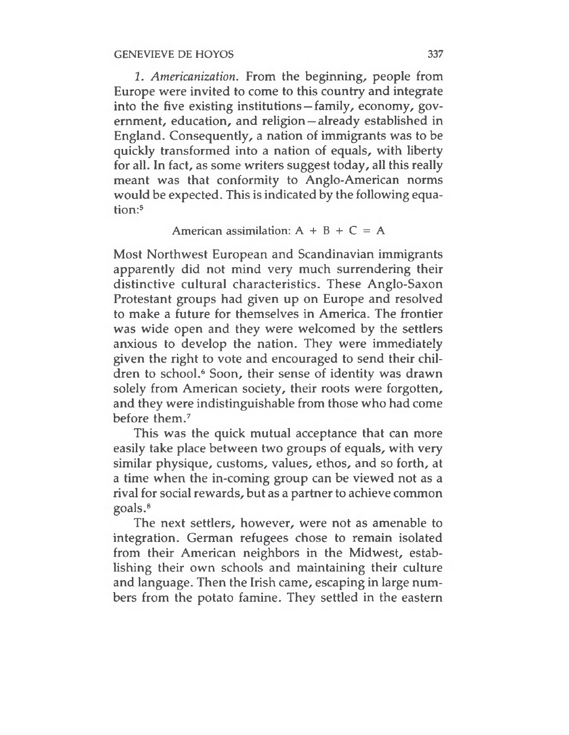*1. Americanization.* From the beginning, people from Europe were invited to come to this country and integrate into the five existing institutions —family, economy, government, education, and religion — already established in England. Consequently, a nation of immigrants was to be quickly transformed into a nation of equals, with liberty for all. In fact, as some writers suggest today, all this really meant was that conformity to Anglo-American norms would be expected. This is indicated by the following equation:<sup>5</sup>

#### American assimilation:  $A + B + C = A$

Most Northwest European and Scandinavian immigrants apparently did not mind very much surrendering their distinctive cultural characteristics. These Anglo-Saxon Protestant groups had given up on Europe and resolved to make a future for themselves in America. The frontier was wide open and they were welcomed by the settlers anxious to develop the nation. They were immediately given the right to vote and encouraged to send their children to school.<sup>6</sup> Soon, their sense of identity was drawn solely from American society, their roots were forgotten, and they were indistinguishable from those who had come before them.<sup>7</sup>

This was the quick mutual acceptance that can more easily take place between two groups of equals, with very similar physique, customs, values, ethos, and so forth, at a time when the in-coming group can be viewed not as a rival for social rewards, but as a partner to achieve common goals.<sup>8</sup>

The next settlers, however, were not as amenable to integration. German refugees chose to remain isolated from their American neighbors in the Midwest, establishing their own schools and maintaining their culture and language. Then the Irish came, escaping in large numbers from the potato famine. They settled in the eastern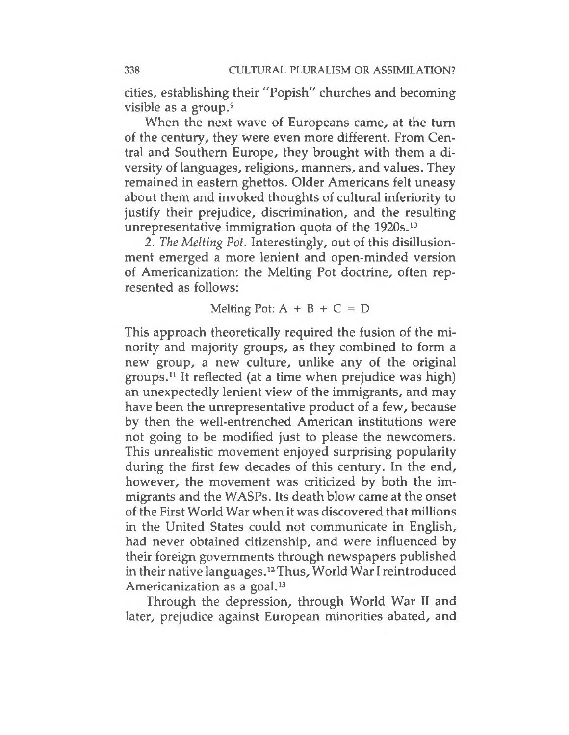cities, establishing their "Popish" churches and becoming visible as a group.<sup>9</sup>

When the next wave of Europeans came, at the turn of the century, they were even more different. From Central and Southern Europe, they brought with them a diversity of languages, religions, manners, and values. They remained in eastern ghettos. Older Americans felt uneasy about them and invoked thoughts of cultural inferiority to justify their prejudice, discrimination, and the resulting unrepresentative immigration quota of the 1920s.<sup>10</sup>

2. *The Melting Pot.* Interestingly, out of this disillusionment emerged a more lenient and open-minded version of Americanization: the Melting Pot doctrine, often represented as follows:

#### Melting Pot:  $A + B + C = D$

This approach theoretically required the fusion of the minority and majority groups, as they combined to form a new group, a new culture, unlike any of the original groups.<sup>11</sup> It reflected (at a time when prejudice was high) an unexpectedly lenient view of the immigrants, and may have been the unrepresentative product of a few, because by then the well-entrenched American institutions were not going to be modified just to please the newcomers. This unrealistic movement enjoyed surprising popularity during the first few decades of this century. In the end, however, the movement was criticized by both the immigrants and the WASPs. Its death blow came at the onset of the First World War when it was discovered that millions in the United States could not communicate in English, had never obtained citizenship, and were influenced by their foreign governments through newspapers published in their native languages.<sup>12</sup> Thus, World War I reintroduced Americanization as a goal.<sup>13</sup>

Through the depression, through World War II and later, prejudice against European minorities abated, and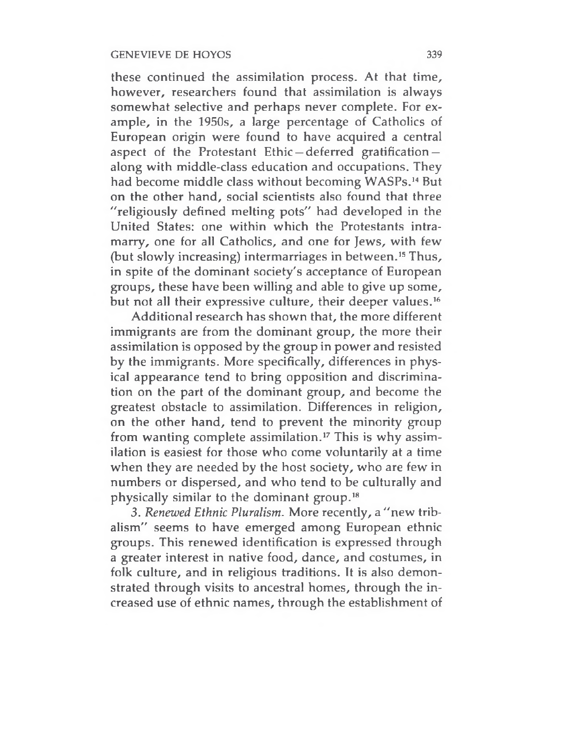these continued the assimilation process. At that time, however, researchers found that assimilation is always somewhat selective and perhaps never complete. For example, in the 1950s, a large percentage of Catholics of European origin were found to have acquired a central aspect of the Protestant Ethic —deferred gratification along with middle-class education and occupations. They had become middle class without becoming WASPs.<sup>14</sup> But on the other hand, social scientists also found that three "religiously defined melting pots" had developed in the United States: one within which the Protestants intramarry, one for all Catholics, and one for Jews, with few (but slowly increasing) intermarriages in between.<sup>15</sup> Thus, in spite of the dominant society's acceptance of European groups, these have been willing and able to give up some, but not all their expressive culture, their deeper values.<sup>16</sup>

Additional research has shown that, the more different immigrants are from the dominant group, the more their assimilation is opposed by the group in power and resisted by the immigrants. More specifically, differences in physical appearance tend to bring opposition and discrimination on the part of the dominant group, and become the greatest obstacle to assimilation. Differences in religion, on the other hand, tend to prevent the minority group from wanting complete assimilation.<sup>17</sup> This is why assimilation is easiest for those who come voluntarily at a time when they are needed by the host society, who are few in numbers or dispersed, and who tend to be culturally and physically similar to the dominant group.<sup>18</sup>

3. *Renewed Ethnic Pluralism.* More recently, a "new tribalism" seems to have emerged among European ethnic groups. This renewed identification is expressed through a greater interest in native food, dance, and costumes, in folk culture, and in religious traditions. It is also demonstrated through visits to ancestral homes, through the increased use of ethnic names, through the establishment of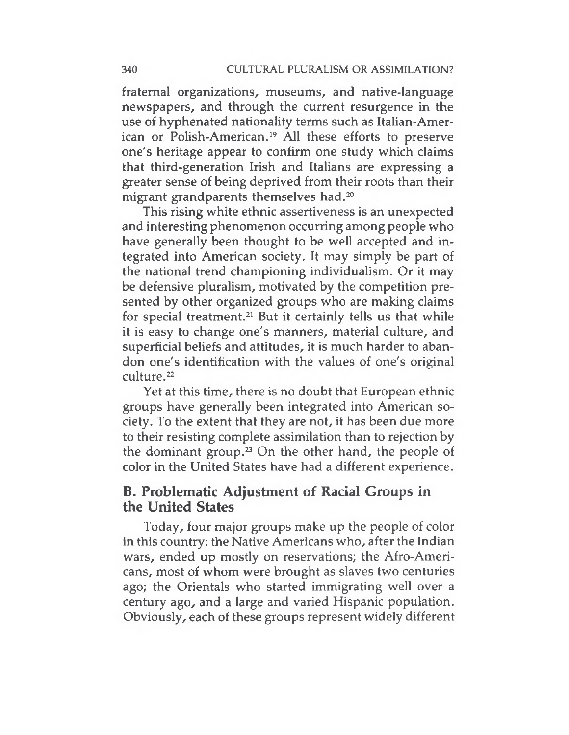fraternal organizations, museums, and native-language newspapers, and through the current resurgence in the use of hyphenated nationality terms such as Italian-American or Polish-American.<sup>19</sup> All these efforts to preserve one's heritage appear to confirm one study which claims that third-generation Irish and Italians are expressing a greater sense of being deprived from their roots than their migrant grandparents themselves had.<sup>20</sup>

This rising white ethnic assertiveness is an unexpected and interesting phenomenon occurring among people who have generally been thought to be well accepted and integrated into American society. It may simply be part of the national trend championing individualism. Or it may be defensive pluralism, motivated by the competition presented by other organized groups who are making claims for special treatment.<sup>21</sup> But it certainly tells us that while it is easy to change one's manners, material culture, and superficial beliefs and attitudes, it is much harder to abandon one's identification with the values of one's original culture.<sup>22</sup>

Yet at this time, there is no doubt that European ethnic groups have generally been integrated into American society. To the extent that they are not, it has been due more to their resisting complete assimilation than to rejection by the dominant group.<sup>23</sup> On the other hand, the people of color in the United States have had a different experience.

## **B. Problematic Adjustinent of Racial Groups in the United States**

Today, four major groups make up the people of color in this country: the Native Americans who, after the Indian wars, ended up mostly on reservations; the Afro-Americans, most of whom were brought as slaves two centuries ago; the Orientals who started immigrating well over a century ago, and a large and varied Hispanic population. Obviously, each of these groups represent widely different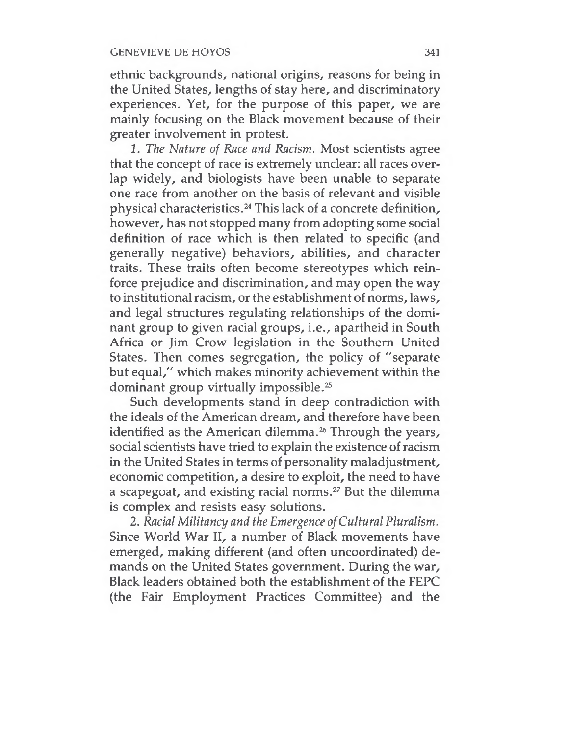ethnic backgrounds, national origins, reasons for being in the United States, lengths of stay here, and discriminatory experiences. Yet, for the purpose of this paper, we are mainly focusing on the Black movement because of their greater involvement in protest.

*1. The Nature of Race and Racism.* Most scientists agree that the concept of race is extremely unclear: all races overlap widely, and biologists have been unable to separate one race from another on the basis of relevant and visible physical characteristics.<sup>24</sup> This lack of a concrete definition, however, has not stopped many from adopting some social definition of race which is then related to specific (and generally negative) behaviors, abilities, and character traits. These traits often become stereotypes which reinforce prejudice and discrimination, and may open the way to institutional racism, or the establishment of norms, laws, and legal structures regulating relationships of the dominant group to given racial groups, i.e., apartheid in South Africa or Jim Crow legislation in the Southern United States. Then comes segregation, the policy of "separate but equal," which makes minority achievement within the dominant group virtually impossible.<sup>25</sup>

Such developments stand in deep contradiction with the ideals of the American dream, and therefore have been identified as the American dilemma.<sup>26</sup> Through the years, social scientists have tried to explain the existence of racism in the United States in terms of personality maladjustment, economic competition, a desire to exploit, the need to have a scapegoat, and existing racial norms.<sup>27</sup> But the dilemma is complex and resists easy solutions.

2. *Racial Militancy and the Emergence ofCultural Pluralism.* Since World War II, a number of Black movements have emerged, making different (and often uncoordinated) demands on the United States government. During the war, Black leaders obtained both the establishment of the FEPC (the Fair Employment Practices Committee) and the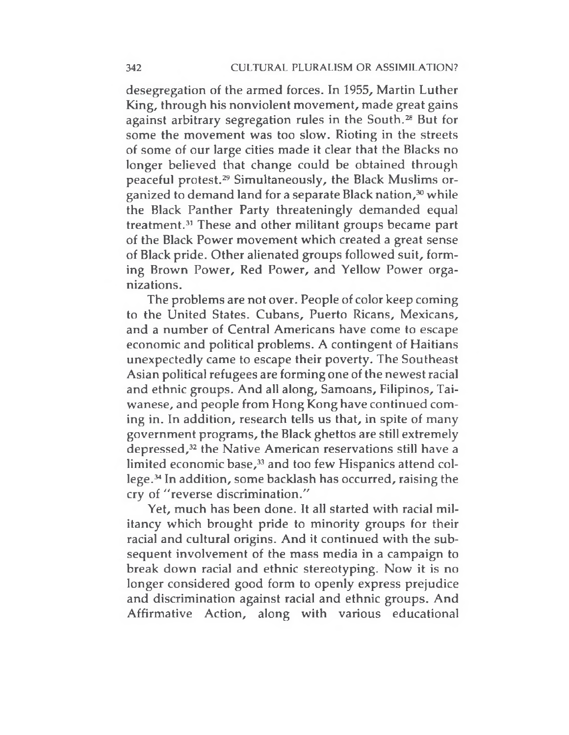desegregation of the armed forces. In 1955, Martin Luther King, through his nonviolent movement, made great gains against arbitrary segregation rules in the South.<sup>28</sup> But for some the movement was too slow. Rioting in the streets of some of our large cities made it clear that the Blacks no longer believed that change could be obtained through peaceful protest.<sup>29</sup> Simultaneously, the Black Muslims organized to demand land for a separate Black nation,<sup>30</sup> while the Black Panther Party threateningly demanded equal treatment.<sup>31</sup> These and other militant groups became part of the Black Power movement which created a great sense of Black pride. Other alienated groups followed suit, forming Brown Power, Red Power, and Yellow Power organizations.

The problems are not over. People of color keep coming to the United States. Cubans, Puerto Ricans, Mexicans, and a number of Central Americans have come to escape economic and political problems. A contingent of Haitians unexpectedly came to escape their poverty. The Southeast Asian political refugees are forming one of the newest racial and ethnic groups. And all along, Samoans, Filipinos, Taiwanese, and people from Hong Kong have continued coming in. In addition, research tells us that, in spite of many government programs, the Black ghettos are still extremely depressed,<sup>32</sup> the Native American reservations still have a limited economic base,<sup>33</sup> and too few Hispanics attend college.<sup>34</sup> In addition, some backlash has occurred, raising the cry of "reverse discrimination."

Yet, much has been done. It all started with racial militancy which brought pride to minority groups for their racial and cultural origins. And it continued with the subsequent involvement of the mass media in a campaign to break down racial and ethnic stereotyping. Now it is no longer considered good form to openly express prejudice and discrimination against racial and ethnic groups. And Affirmative Action, along with various educational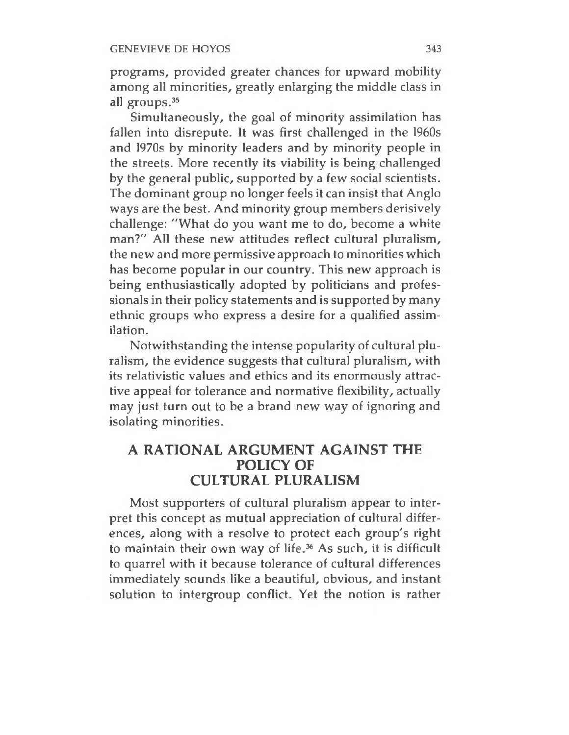programs, provided greater chances for upward mobility among all minorities, greatly enlarging the middle class in all groups.<sup>35</sup>

Simultaneously, the goal of minority assimilation has fallen into disrepute. It was first challenged in the 1960s and 1970s by minority leaders and by minority people in the streets. More recently its viability is being challenged by the general public, supported by a few social scientists. The dominant group no longer feels it can insist that Anglo ways are the best. And minority group members derisively challenge: "What do you want me to do, become a white man?" All these new attitudes reflect cultural pluralism, the new and more permissive approach to minorities which has become popular in our country. This new approach is being enthusiastically adopted by politicians and professionals in their policy statements and is supported by many ethnic groups who express a desire for a qualified assimilation.

Notwithstanding the intense popularity of cultural pluralism, the evidence suggests that cultural pluralism, with its relativistic values and ethics and its enormously attractive appeal for tolerance and normative flexibility, actually may just turn out to be a brand new way of ignoring and isolating minorities.

## **A RATIONAL ARGUMENT AGAINST THE POLICY OF CULTURAL PLURALISM**

Most supporters of cultural pluralism appear to interpret this concept as mutual appreciation of cultural differences, along with a resolve to protect each group's right to maintain their own way of life.<sup>36</sup> As such, it is difficult to quarrel with it because tolerance of cultural differences immediately sounds like a beautiful, obvious, and instant solution to intergroup conflict. Yet the notion is rather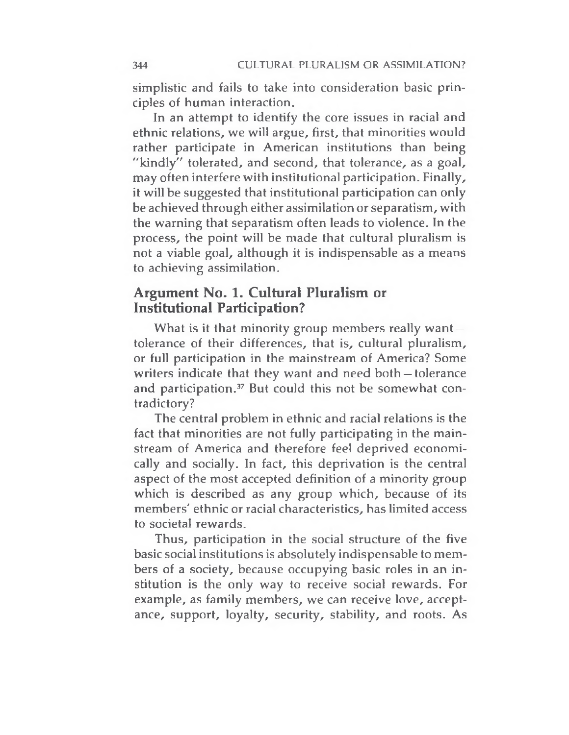simplistic and fails to take into consideration basic principles of human interaction.

In an attempt to identify the core issues in racial and ethnic relations, we will argue, first, that minorities would rather participate in American institutions than being "kindly" tolerated, and second, that tolerance, as a goal, may often interfere with institutional participation. Finally, it will be suggested that institutional participation can only be achieved through either assimilation or separatism, with the warning that separatism often leads to violence. In the process, the point will be made that cultural pluralism is not a viable goal, although it is indispensable as a means to achieving assimilation.

#### **Argument No. 1. Cultural Pluralism or Institutional Participation?**

What is it that minority group members really want $$ tolerance of their differences, that is, cultural pluralism, or full participation in the mainstream of America? Some writers indicate that they want and need both —tolerance and participation.<sup>37</sup> But could this not be somewhat contradictory?

The central problem in ethnic and racial relations is the fact that minorities are not fully participating in the mainstream of America and therefore feel deprived economically and socially. In fact, this deprivation is the central aspect of the most accepted definition of a minority group which is described as any group which, because of its members' ethnic or racial characteristics, has limited access to societal rewards.

Thus, participation in the social structure of the five basic social institutions is absolutely indispensable to members of a society, because occupying basic roles in an institution is the only way to receive social rewards. For example, as family members, we can receive love, acceptance, support, loyalty, security, stability, and roots. As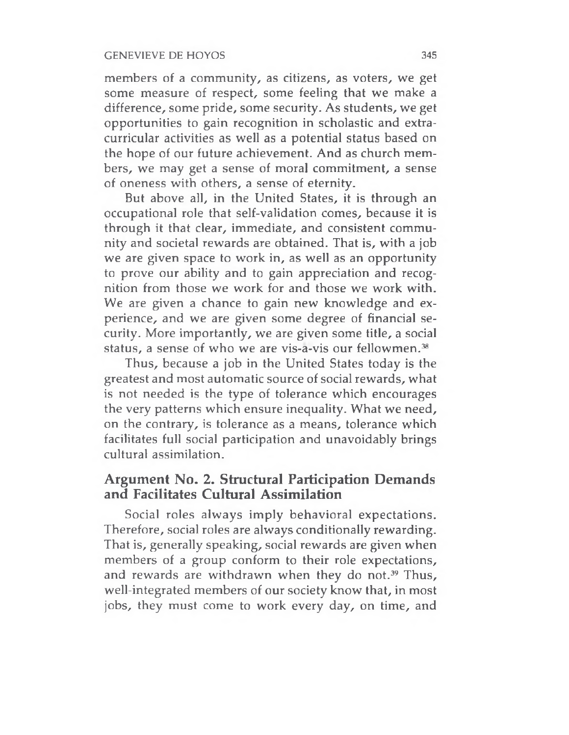members of a community, as citizens, as voters, we get some measure of respect, some feeling that we make a difference, some pride, some security. As students, we get opportunities to gain recognition in scholastic and extracurricular activities as well as a potential status based on the hope of our future achievement. And as church members, we may get a sense of moral commitment, a sense of oneness with others, a sense of eternity.

But above all, in the United States, it is through an occupational role that self-validation comes, because it is through it that clear, immediate, and consistent community and societal rewards are obtained. That is, with a job we are given space to work in, as well as an opportunity to prove our ability and to gain appreciation and recognition from those we work for and those we work with. We are given a chance to gain new knowledge and experience, and we are given some degree of financial security. More importantly, we are given some title, a social status, a sense of who we are vis-a-vis our fellowmen.<sup>38</sup>

Thus, because a job in the United States today is the greatest and most automatic source of social rewards, what is not needed is the type of tolerance which encourages the very patterns which ensure inequality. What we need, on the contrary, is tolerance as a means, tolerance which facilitates full social participation and unavoidably brings cultural assimilation.

## **Argument No. 2. Structural Participation Demands and Facilitates Cultural Assimilation**

Social roles always imply behavioral expectations. Therefore, social roles are always conditionally rewarding. That is, generally speaking, social rewards are given when members of a group conform to their role expectations, and rewards are withdrawn when they do not.<sup>39</sup> Thus, well-integrated members of our society know that, in most jobs, they must come to work every day, on time, and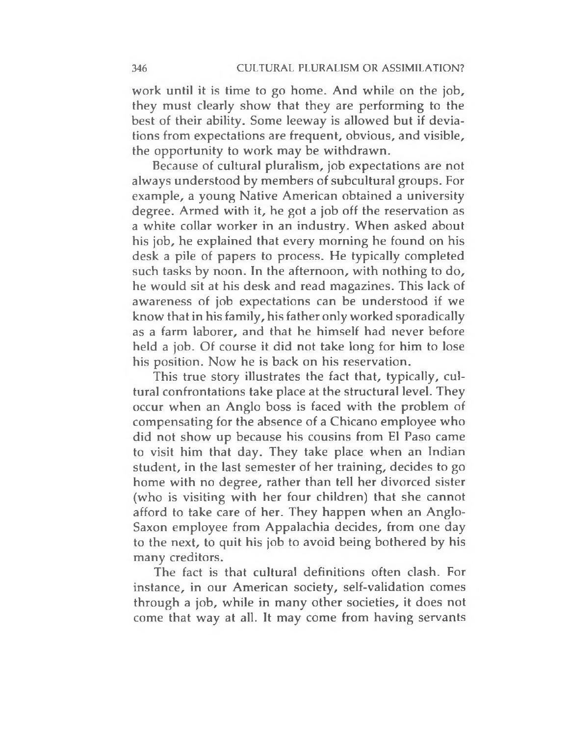work until it is time to go home. And while on the job, they must clearly show that they are performing to the best of their ability. Some leeway is allowed but if deviations from expectations are frequent, obvious, and visible, the opportunity to work may be withdrawn.

Because of cultural pluralism, job expectations are not always understood by members of subcultural groups. For example, a young Native American obtained a university degree. Armed with it, he got a job off the reservation as a white collar worker in an industry. When asked about his job, he explained that every morning he found on his desk a pile of papers to process. He typically completed such tasks by noon. In the afternoon, with nothing to do, he would sit at his desk and read magazines. This lack of awareness of job expectations can be understood if we know that in his family, his father only worked sporadically as a farm laborer, and that he himself had never before held a job. Of course it did not take long for him to lose his position. Now he is back on his reservation.

This true story illustrates the fact that, typically, cultural confrontations take place at the structural level. They occur when an Anglo boss is faced with the problem of compensating for the absence of a Chicano employee who did not show up because his cousins from El Paso came to visit him that day. They take place when an Indian student, in the last semester of her training, decides to go home with no degree, rather than tell her divorced sister (who is visiting with her four children) that she cannot afford to take care of her. They happen when an Anglo-Saxon employee from Appalachia decides, from one day to the next, to quit his job to avoid being bothered by his many creditors.

The fact is that cultural definitions often clash. For instance, in our American society, self-validation comes through a job, while in many other societies, it does not come that way at all. It may come from having servants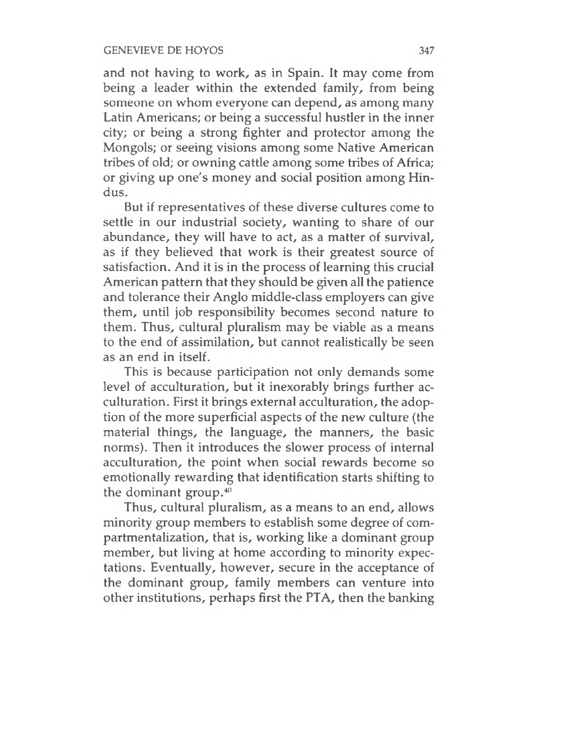and not having to work, as in Spain. It may come from being a leader within the extended family, from being someone on whom everyone can depend, as among many Latin Americans; or being a successful hustler in the inner city; or being a strong fighter and protector among the Mongols; or seeing visions among some Native American tribes of old; or owning cattle among some tribes of Africa; or giving up one's money and social position among Hindus.

But if representatives of these diverse cultures come to settle in our industrial society, wanting to share of our abundance, they will have to act, as a matter of survival, as if they believed that work is their greatest source of satisfaction. And it is in the process of learning this crucial American pattern that they should be given all the patience and tolerance their Anglo middle-class employers can give them, until job responsibility becomes second nature to them. Thus, cultural pluralism may be viable as a means to the end of assimilation, but cannot realistically be seen as an end in itself.

This is because participation not only demands some level of acculturation, but it inexorably brings further acculturation. First it brings external acculturation, the adoption of the more superficial aspects of the new culture (the material things, the language, the manners, the basic norms). Then it introduces the slower process of internal acculturation, the point when social rewards become so emotionally rewarding that identification starts shifting to the dominant group. $40$ 

Thus, cultural pluralism, as a means to an end, allows minority group members to establish some degree of compartmentalization, that is, working like a dominant group member, but living at home according to minority expectations. Eventually, however, secure in the acceptance of the dominant group, family members can venture into other institutions, perhaps first the PTA, then the banking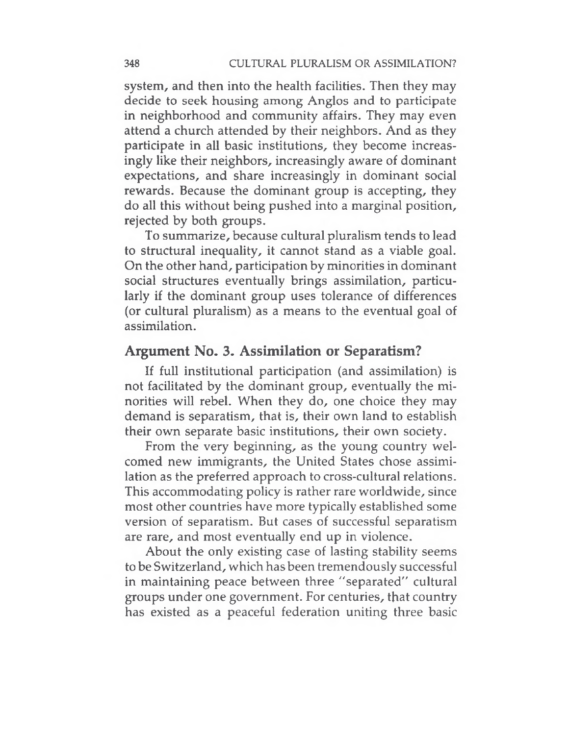system, and then into the health facilities. Then they may decide to seek housing among Anglos and to participate in neighborhood and community affairs. They may even attend a church attended by their neighbors. And as they participate in all basic institutions, they become increasingly like their neighbors, increasingly aware of dominant expectations, and share increasingly in dominant social rewards. Because the dominant group is accepting, they do all this without being pushed into a marginal position, rejected by both groups.

To summarize, because cultural pluralism tends to lead to structural inequality, it cannot stand as a viable goal. On the other hand, participation by minorities in dominant social structures eventually brings assimilation, particularly if the dominant group uses tolerance of differences (or cultural pluralism) as a means to the eventual goal of assimilation.

#### **Argument No. 3. Assimilation or Separatism?**

If full institutional participation (and assimilation) is not facilitated by the dominant group, eventually the minorities will rebel. When they do, one choice they may demand is separatism, that is, their own land to establish their own separate basic institutions, their own society.

From the very beginning, as the young country welcomed new immigrants, the United States chose assimilation as the preferred approach to cross-cultural relations. This accommodating policy is rather rare worldwide, since most other countries have more typically established some version of separatism. But cases of successful separatism are rare, and most eventually end up in violence.

About the only existing case of lasting stability seems to be Switzerland, which has been tremendously successful in maintaining peace between three "separated" cultural groups under one government. For centuries, that country has existed as a peaceful federation uniting three basic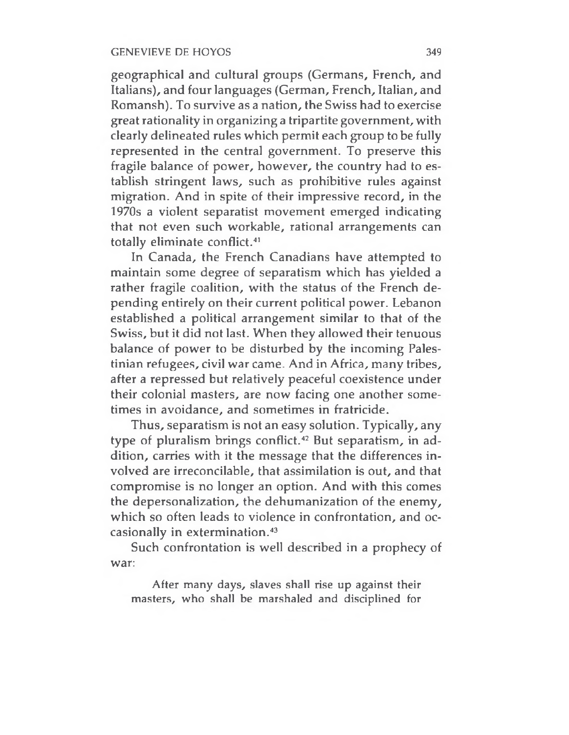geographical and cultural groups (Germans, French, and Italians), and four languages (German, French, Italian, and Romansh). To survive as a nation, the Swiss had to exercise great rationality in organizing a tripartite government, with clearly delineated rules which permit each group to be fully represented in the central government. To preserve this fragile balance of power, however, the country had to establish stringent laws, such as prohibitive rules against migration. And in spite of their impressive record, in the 1970s a violent separatist movement emerged indicating that not even such workable, rational arrangements can totally eliminate conflict.<sup>41</sup>

In Canada, the French Canadians have attempted to maintain some degree of separatism which has yielded a rather fragile coalition, with the status of the French depending entirely on their current political power. Lebanon established a political arrangement similar to that of the Swiss, but it did not last. When they allowed their tenuous balance of power to be disturbed by the incoming Palestinian refugees, civil war came. And in Africa, many tribes, after a repressed but relatively peaceful coexistence under their colonial masters, are now facing one another sometimes in avoidance, and sometimes in fratricide.

Thus, separatism is not an easy solution. Typically, any type of pluralism brings conflict.<sup>42</sup> But separatism, in addition, carries with it the message that the differences involved are irreconcilable, that assimilation is out, and that compromise is no longer an option. And with this comes the depersonalization, the dehumanization of the enemy, which so often leads to violence in confrontation, and occasionally in extermination.<sup>43</sup>

Such confrontation is well described in a prophecy of war:

After many days, slaves shall rise up against their masters, who shall be marshaled and disciplined for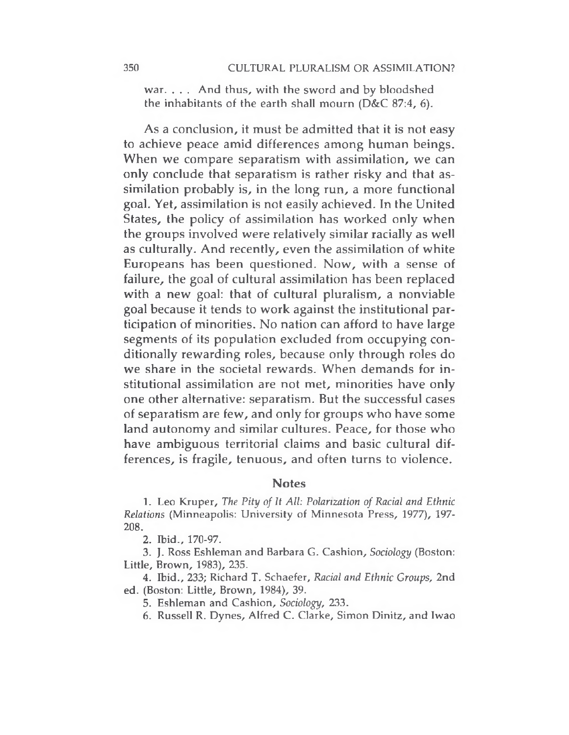war. . . . And thus, with the sword and by bloodshed the inhabitants of the earth shall mourn (D&C 87:4, 6).

As a conclusion, it must be admitted that it is not easy to achieve peace amid differences among human beings. When we compare separatism with assimilation, we can only conclude that separatism is rather risky and that assimilation probably is, in the long run, a more functional goal. Yet, assimilation is not easily achieved. In the United States, the policy of assimilation has worked only when the groups involved were relatively similar racially as well as culturally. And recently, even the assimilation of white Europeans has been questioned. Now, with a sense of failure, the goal of cultural assimilation has been replaced with a new goal: that of cultural pluralism, a nonviable goal because it tends to work against the institutional participation of minorities. No nation can afford to have large segments of its population excluded from occupying conditionally rewarding roles, because only through roles do we share in the societal rewards. When demands for institutional assimilation are not met, minorities have only one other alternative: separatism. But the successful cases of separatism are few, and only for groups who have some land autonomy and similar cultures. Peace, for those who have ambiguous territorial claims and basic cultural differences, is fragile, tenuous, and often turns to violence.

#### **Notes**

1. Leo Kruper, *The Pity of It AU: Polarization of Racial and Ethnic Relations* (Minneapolis: University of Minnesota Press, 1977), 197- 208.

2. Ibid., 170-97.

3. J. Ross Eshleman and Barbara G. Cashion, *Sociology* (Boston: Little, Brown, 1983), 235.

4. Ibid., 233; Richard T. Schaefer, *Racial and Ethnic Groups,* 2nd ed. (Boston: Little, Brown, 1984), 39.

5. Eshleman and Cashion, *Sociology,* 233.

6. Russell R. Dynes, Alfred C. Clarke, Simon Dinitz, and Iwao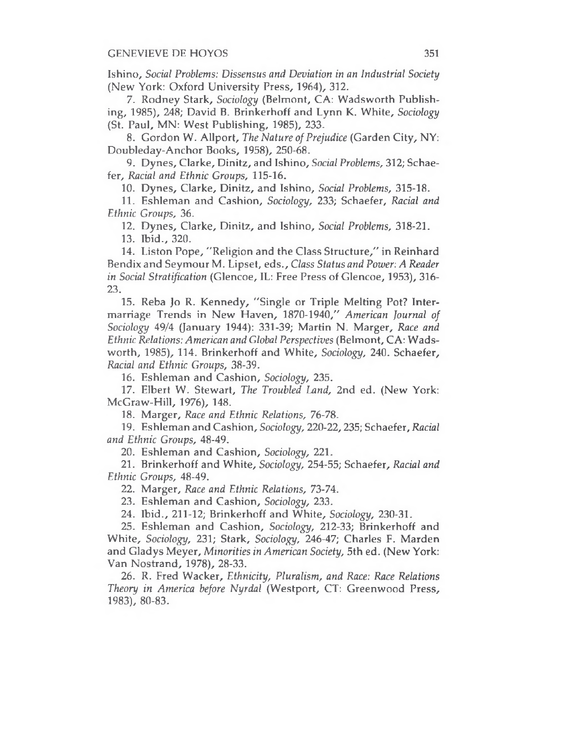Ishino, *Social Problems: Dissensus and Deviation in an Industrial Society* (New York: Oxford University Press, 1964), 312.

7. Rodney Stark, *Sociology* (Belmont, CA: Wadsworth Publishing, 1985), 248; David B. Brinkerhoff and Lynn K. White, *Sociology* (St. Paul, MN: West Publishing, 1985), 233.

8. Gordon W. Allport, *The Nature ofPrejudice* (Garden City, NY: Doubleday-Anchor Books, 1958), 250-68.

9. Dynes, Clarke, Dinitz, and Ishino, *Social Problems,* 312; Schaefer, *Racial and Ethnic Groups,* 115-16.

10. Dynes, Clarke, Dinitz, and Ishino, *Social Problems,* 315-18.

11. Eshleman and Cashion, *Sociology,* 233; Schaefer, *Racial and Ethnic Groups,* 36.

12. Dynes, Clarke, Dinitz, and Ishino, *Social Problems,* 318-21.

13. Ibid., 320.

14. Liston Pope, "Religion and the Class Structure," in Reinhard Bendix and Seymour M. Lipset, eds., *Class Status and Power: A Reader in Social Stratification* (Glencoe, IL: Free Press of Glencoe, 1953), 316- 23.

15. Reba Jo R. Kennedy, "Single or Triple Melting Pot? Intermarriage Trends in New Haven, 1870-1940," *American Journal of Sociology* 49/4 Qanuary 1944): 331-39; Martin N. Marger, *Race and Ethnic Relations: American and Global Perspectives* (Belmont, CA: Wadsworth, 1985), 114. Brinkerhoff and White, *Sociology,* 240. Schaefer, *Racial and Ethnic Groups,* 38-39.

16. Eshleman and Cashion, *Sociology,* 235.

17. Elbert W. Stewart, *The Troubled Land,* 2nd ed. (New York: McGraw-Hill, 1976), 148.

18. Marger, *Race and Ethnic Relations, 76-78.*

19. Eshleman and Cashion, *Sociology,* 220-22,235; Schaefer, *Racial and Ethnic Groups,* 48-49.

20. Eshleman and Cashion, *Sociology,* 221.

21. Brinkerhoff and White, *Sociology,* 254-55; Schaefer, *Racial and Ethnic Groups,* 48-49.

22. Marger, *Race and Ethnic Relations,* 73-74.

23. Eshleman and Cashion, *Sociology,* 233.

24. Ibid., 211-12; Brinkerhoff and White, *Sociology,* 230-31.

25. Eshleman and Cashion, *Sociology,* 212-33; Brinkerhoff and White, *Sociology,* 231; Stark, *Sociology,* 246-47; Charles F. Marden and Gladys Meyer, *Minorities in American Society,* 5th ed. (New York: Van Nostrand, 1978), 28-33.

26. R. Fred Wacker, *Ethnicity, Pluralism, and Race: Race Relations Theory in America before Nyrdal* (Westport, CT: Greenwood Press, 1983), 80-83.